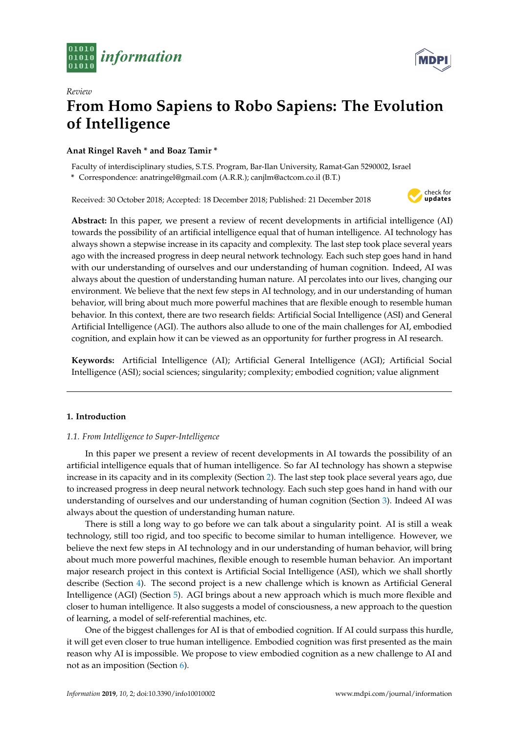



# *Review* **From Homo Sapiens to Robo Sapiens: The Evolution of Intelligence**

# **Anat Ringel Raveh \* and Boaz Tamir \***

Faculty of interdisciplinary studies, S.T.S. Program, Bar-Ilan University, Ramat-Gan 5290002, Israel **\*** Correspondence: anatringel@gmail.com (A.R.R.); canjlm@actcom.co.il (B.T.)

Received: 30 October 2018; Accepted: 18 December 2018; Published: 21 December 2018



**Abstract:** In this paper, we present a review of recent developments in artificial intelligence (AI) towards the possibility of an artificial intelligence equal that of human intelligence. AI technology has always shown a stepwise increase in its capacity and complexity. The last step took place several years ago with the increased progress in deep neural network technology. Each such step goes hand in hand with our understanding of ourselves and our understanding of human cognition. Indeed, AI was always about the question of understanding human nature. AI percolates into our lives, changing our environment. We believe that the next few steps in AI technology, and in our understanding of human behavior, will bring about much more powerful machines that are flexible enough to resemble human behavior. In this context, there are two research fields: Artificial Social Intelligence (ASI) and General Artificial Intelligence (AGI). The authors also allude to one of the main challenges for AI, embodied cognition, and explain how it can be viewed as an opportunity for further progress in AI research.

**Keywords:** Artificial Intelligence (AI); Artificial General Intelligence (AGI); Artificial Social Intelligence (ASI); social sciences; singularity; complexity; embodied cognition; value alignment

# **1. Introduction**

## *1.1. From Intelligence to Super-Intelligence*

In this paper we present a review of recent developments in AI towards the possibility of an artificial intelligence equals that of human intelligence. So far AI technology has shown a stepwise increase in its capacity and in its complexity (Section [2\)](#page-1-0). The last step took place several years ago, due to increased progress in deep neural network technology. Each such step goes hand in hand with our understanding of ourselves and our understanding of human cognition (Section [3\)](#page-4-0). Indeed AI was always about the question of understanding human nature.

There is still a long way to go before we can talk about a singularity point. AI is still a weak technology, still too rigid, and too specific to become similar to human intelligence. However, we believe the next few steps in AI technology and in our understanding of human behavior, will bring about much more powerful machines, flexible enough to resemble human behavior. An important major research project in this context is Artificial Social Intelligence (ASI), which we shall shortly describe (Section [4\)](#page-6-0). The second project is a new challenge which is known as Artificial General Intelligence (AGI) (Section [5\)](#page-8-0). AGI brings about a new approach which is much more flexible and closer to human intelligence. It also suggests a model of consciousness, a new approach to the question of learning, a model of self-referential machines, etc.

One of the biggest challenges for AI is that of embodied cognition. If AI could surpass this hurdle, it will get even closer to true human intelligence. Embodied cognition was first presented as the main reason why AI is impossible. We propose to view embodied cognition as a new challenge to AI and not as an imposition (Section [6\)](#page-11-0).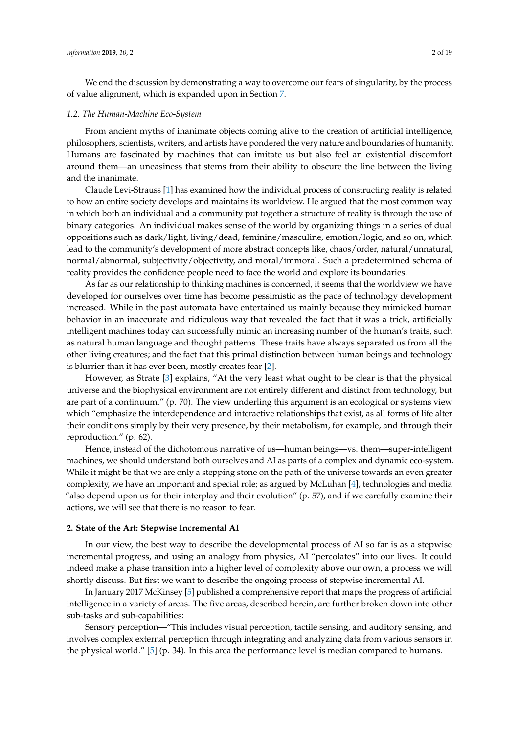We end the discussion by demonstrating a way to overcome our fears of singularity, by the process of value alignment, which is expanded upon in Section [7.](#page-13-0)

#### *1.2. The Human-Machine Eco-System*

From ancient myths of inanimate objects coming alive to the creation of artificial intelligence, philosophers, scientists, writers, and artists have pondered the very nature and boundaries of humanity. Humans are fascinated by machines that can imitate us but also feel an existential discomfort around them—an uneasiness that stems from their ability to obscure the line between the living and the inanimate.

Claude Levi-Strauss [\[1\]](#page-15-0) has examined how the individual process of constructing reality is related to how an entire society develops and maintains its worldview. He argued that the most common way in which both an individual and a community put together a structure of reality is through the use of binary categories. An individual makes sense of the world by organizing things in a series of dual oppositions such as dark/light, living/dead, feminine/masculine, emotion/logic, and so on, which lead to the community's development of more abstract concepts like, chaos/order, natural/unnatural, normal/abnormal, subjectivity/objectivity, and moral/immoral. Such a predetermined schema of reality provides the confidence people need to face the world and explore its boundaries.

As far as our relationship to thinking machines is concerned, it seems that the worldview we have developed for ourselves over time has become pessimistic as the pace of technology development increased. While in the past automata have entertained us mainly because they mimicked human behavior in an inaccurate and ridiculous way that revealed the fact that it was a trick, artificially intelligent machines today can successfully mimic an increasing number of the human's traits, such as natural human language and thought patterns. These traits have always separated us from all the other living creatures; and the fact that this primal distinction between human beings and technology is blurrier than it has ever been, mostly creates fear [\[2\]](#page-15-1).

However, as Strate [\[3\]](#page-15-2) explains, "At the very least what ought to be clear is that the physical universe and the biophysical environment are not entirely different and distinct from technology, but are part of a continuum." (p. 70). The view underling this argument is an ecological or systems view which "emphasize the interdependence and interactive relationships that exist, as all forms of life alter their conditions simply by their very presence, by their metabolism, for example, and through their reproduction." (p. 62).

Hence, instead of the dichotomous narrative of us—human beings—vs. them—super-intelligent machines, we should understand both ourselves and AI as parts of a complex and dynamic eco-system. While it might be that we are only a stepping stone on the path of the universe towards an even greater complexity, we have an important and special role; as argued by McLuhan [\[4\]](#page-15-3), technologies and media "also depend upon us for their interplay and their evolution" (p. 57), and if we carefully examine their actions, we will see that there is no reason to fear.

#### <span id="page-1-0"></span>**2. State of the Art: Stepwise Incremental AI**

In our view, the best way to describe the developmental process of AI so far is as a stepwise incremental progress, and using an analogy from physics, AI "percolates" into our lives. It could indeed make a phase transition into a higher level of complexity above our own, a process we will shortly discuss. But first we want to describe the ongoing process of stepwise incremental AI.

In January 2017 McKinsey [\[5\]](#page-15-4) published a comprehensive report that maps the progress of artificial intelligence in a variety of areas. The five areas, described herein, are further broken down into other sub-tasks and sub-capabilities:

Sensory perception—"This includes visual perception, tactile sensing, and auditory sensing, and involves complex external perception through integrating and analyzing data from various sensors in the physical world." [\[5\]](#page-15-4) (p. 34). In this area the performance level is median compared to humans.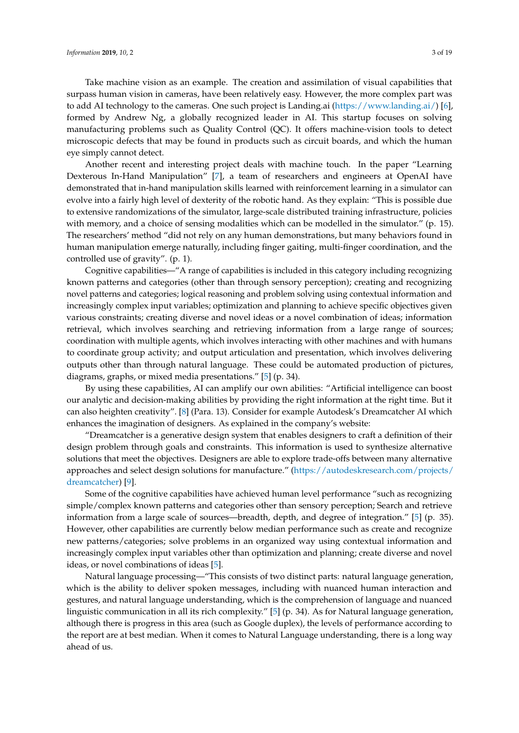Take machine vision as an example. The creation and assimilation of visual capabilities that surpass human vision in cameras, have been relatively easy. However, the more complex part was to add AI technology to the cameras. One such project is Landing.ai [\(https://www.landing.ai/\)](https://www.landing.ai/) [\[6\]](#page-15-5), formed by Andrew Ng, a globally recognized leader in AI. This startup focuses on solving manufacturing problems such as Quality Control (QC). It offers machine-vision tools to detect microscopic defects that may be found in products such as circuit boards, and which the human eye simply cannot detect.

Another recent and interesting project deals with machine touch. In the paper "Learning Dexterous In-Hand Manipulation" [\[7\]](#page-15-6), a team of researchers and engineers at OpenAI have demonstrated that in-hand manipulation skills learned with reinforcement learning in a simulator can evolve into a fairly high level of dexterity of the robotic hand. As they explain: "This is possible due to extensive randomizations of the simulator, large-scale distributed training infrastructure, policies with memory, and a choice of sensing modalities which can be modelled in the simulator." (p. 15). The researchers' method "did not rely on any human demonstrations, but many behaviors found in human manipulation emerge naturally, including finger gaiting, multi-finger coordination, and the controlled use of gravity". (p. 1).

Cognitive capabilities—"A range of capabilities is included in this category including recognizing known patterns and categories (other than through sensory perception); creating and recognizing novel patterns and categories; logical reasoning and problem solving using contextual information and increasingly complex input variables; optimization and planning to achieve specific objectives given various constraints; creating diverse and novel ideas or a novel combination of ideas; information retrieval, which involves searching and retrieving information from a large range of sources; coordination with multiple agents, which involves interacting with other machines and with humans to coordinate group activity; and output articulation and presentation, which involves delivering outputs other than through natural language. These could be automated production of pictures, diagrams, graphs, or mixed media presentations." [\[5\]](#page-15-4) (p. 34).

By using these capabilities, AI can amplify our own abilities: "Artificial intelligence can boost our analytic and decision-making abilities by providing the right information at the right time. But it can also heighten creativity". [\[8\]](#page-15-7) (Para. 13). Consider for example Autodesk's Dreamcatcher AI which enhances the imagination of designers. As explained in the company's website:

"Dreamcatcher is a generative design system that enables designers to craft a definition of their design problem through goals and constraints. This information is used to synthesize alternative solutions that meet the objectives. Designers are able to explore trade-offs between many alternative approaches and select design solutions for manufacture." [\(https://autodeskresearch.com/projects/](https://autodeskresearch.com/projects/dreamcatcher) [dreamcatcher\)](https://autodeskresearch.com/projects/dreamcatcher) [\[9\]](#page-15-8).

Some of the cognitive capabilities have achieved human level performance "such as recognizing simple/complex known patterns and categories other than sensory perception; Search and retrieve information from a large scale of sources—breadth, depth, and degree of integration." [\[5\]](#page-15-4) (p. 35). However, other capabilities are currently below median performance such as create and recognize new patterns/categories; solve problems in an organized way using contextual information and increasingly complex input variables other than optimization and planning; create diverse and novel ideas, or novel combinations of ideas [\[5\]](#page-15-4).

Natural language processing—"This consists of two distinct parts: natural language generation, which is the ability to deliver spoken messages, including with nuanced human interaction and gestures, and natural language understanding, which is the comprehension of language and nuanced linguistic communication in all its rich complexity." [\[5\]](#page-15-4) (p. 34). As for Natural language generation, although there is progress in this area (such as Google duplex), the levels of performance according to the report are at best median. When it comes to Natural Language understanding, there is a long way ahead of us.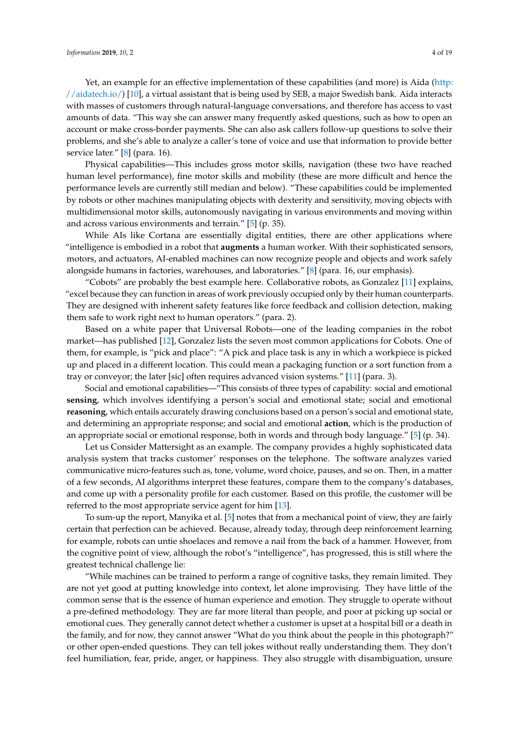Yet, an example for an effective implementation of these capabilities (and more) is Aida [\(http:](http://aidatech.io/) [//aidatech.io/\)](http://aidatech.io/) [\[10\]](#page-15-9), a virtual assistant that is being used by SEB, a major Swedish bank. Aida interacts with masses of customers through natural-language conversations, and therefore has access to vast amounts of data. "This way she can answer many frequently asked questions, such as how to open an account or make cross-border payments. She can also ask callers follow-up questions to solve their problems, and she's able to analyze a caller's tone of voice and use that information to provide better service later." [\[8\]](#page-15-7) (para. 16).

Physical capabilities—This includes gross motor skills, navigation (these two have reached human level performance), fine motor skills and mobility (these are more difficult and hence the performance levels are currently still median and below). "These capabilities could be implemented by robots or other machines manipulating objects with dexterity and sensitivity, moving objects with multidimensional motor skills, autonomously navigating in various environments and moving within and across various environments and terrain." [\[5\]](#page-15-4) (p. 35).

While AIs like Cortana are essentially digital entities, there are other applications where "intelligence is embodied in a robot that **augments** a human worker. With their sophisticated sensors, motors, and actuators, AI-enabled machines can now recognize people and objects and work safely alongside humans in factories, warehouses, and laboratories." [\[8\]](#page-15-7) (para. 16, our emphasis).

"Cobots" are probably the best example here. Collaborative robots, as Gonzalez  $[11]$  explains, "excel because they can function in areas of work previously occupied only by their human counterparts. They are designed with inherent safety features like force feedback and collision detection, making them safe to work right next to human operators." (para. 2).

Based on a white paper that Universal Robots—one of the leading companies in the robot market—has published [\[12\]](#page-15-11), Gonzalez lists the seven most common applications for Cobots. One of them, for example, is "pick and place": "A pick and place task is any in which a workpiece is picked up and placed in a different location. This could mean a packaging function or a sort function from a tray or conveyor; the later [sic] often requires advanced vision systems." [\[11\]](#page-15-10) (para. 3).

Social and emotional capabilities—"This consists of three types of capability: social and emotional **sensing**, which involves identifying a person's social and emotional state; social and emotional **reasoning**, which entails accurately drawing conclusions based on a person's social and emotional state, and determining an appropriate response; and social and emotional **action**, which is the production of an appropriate social or emotional response, both in words and through body language." [\[5\]](#page-15-4) (p. 34).

Let us Consider Mattersight as an example. The company provides a highly sophisticated data analysis system that tracks customer' responses on the telephone. The software analyzes varied communicative micro-features such as, tone, volume, word choice, pauses, and so on. Then, in a matter of a few seconds, AI algorithms interpret these features, compare them to the company's databases, and come up with a personality profile for each customer. Based on this profile, the customer will be referred to the most appropriate service agent for him [\[13\]](#page-15-12).

To sum-up the report, Manyika et al. [\[5\]](#page-15-4) notes that from a mechanical point of view, they are fairly certain that perfection can be achieved. Because, already today, through deep reinforcement learning for example, robots can untie shoelaces and remove a nail from the back of a hammer. However, from the cognitive point of view, although the robot's "intelligence", has progressed, this is still where the greatest technical challenge lie:

"While machines can be trained to perform a range of cognitive tasks, they remain limited. They are not yet good at putting knowledge into context, let alone improvising. They have little of the common sense that is the essence of human experience and emotion. They struggle to operate without a pre-defined methodology. They are far more literal than people, and poor at picking up social or emotional cues. They generally cannot detect whether a customer is upset at a hospital bill or a death in the family, and for now, they cannot answer "What do you think about the people in this photograph?" or other open-ended questions. They can tell jokes without really understanding them. They don't feel humiliation, fear, pride, anger, or happiness. They also struggle with disambiguation, unsure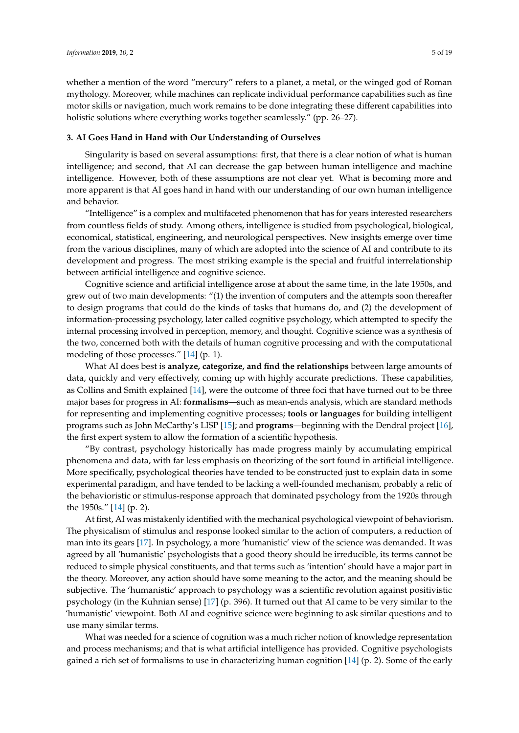whether a mention of the word "mercury" refers to a planet, a metal, or the winged god of Roman mythology. Moreover, while machines can replicate individual performance capabilities such as fine motor skills or navigation, much work remains to be done integrating these different capabilities into holistic solutions where everything works together seamlessly." (pp. 26–27).

## <span id="page-4-0"></span>**3. AI Goes Hand in Hand with Our Understanding of Ourselves**

Singularity is based on several assumptions: first, that there is a clear notion of what is human intelligence; and second, that AI can decrease the gap between human intelligence and machine intelligence. However, both of these assumptions are not clear yet. What is becoming more and more apparent is that AI goes hand in hand with our understanding of our own human intelligence and behavior.

"Intelligence" is a complex and multifaceted phenomenon that has for years interested researchers from countless fields of study. Among others, intelligence is studied from psychological, biological, economical, statistical, engineering, and neurological perspectives. New insights emerge over time from the various disciplines, many of which are adopted into the science of AI and contribute to its development and progress. The most striking example is the special and fruitful interrelationship between artificial intelligence and cognitive science.

Cognitive science and artificial intelligence arose at about the same time, in the late 1950s, and grew out of two main developments: "(1) the invention of computers and the attempts soon thereafter to design programs that could do the kinds of tasks that humans do, and (2) the development of information-processing psychology, later called cognitive psychology, which attempted to specify the internal processing involved in perception, memory, and thought. Cognitive science was a synthesis of the two, concerned both with the details of human cognitive processing and with the computational modeling of those processes." [\[14\]](#page-16-0) (p. 1).

What AI does best is **analyze, categorize, and find the relationships** between large amounts of data, quickly and very effectively, coming up with highly accurate predictions. These capabilities, as Collins and Smith explained [\[14\]](#page-16-0), were the outcome of three foci that have turned out to be three major bases for progress in AI: **formalisms**—such as mean-ends analysis, which are standard methods for representing and implementing cognitive processes; **tools or languages** for building intelligent programs such as John McCarthy's LISP [\[15\]](#page-16-1); and **programs**—beginning with the Dendral project [\[16\]](#page-16-2), the first expert system to allow the formation of a scientific hypothesis.

"By contrast, psychology historically has made progress mainly by accumulating empirical phenomena and data, with far less emphasis on theorizing of the sort found in artificial intelligence. More specifically, psychological theories have tended to be constructed just to explain data in some experimental paradigm, and have tended to be lacking a well-founded mechanism, probably a relic of the behavioristic or stimulus-response approach that dominated psychology from the 1920s through the 1950s." [\[14\]](#page-16-0) (p. 2).

At first, AI was mistakenly identified with the mechanical psychological viewpoint of behaviorism. The physicalism of stimulus and response looked similar to the action of computers, a reduction of man into its gears [\[17\]](#page-16-3). In psychology, a more 'humanistic' view of the science was demanded. It was agreed by all 'humanistic' psychologists that a good theory should be irreducible, its terms cannot be reduced to simple physical constituents, and that terms such as 'intention' should have a major part in the theory. Moreover, any action should have some meaning to the actor, and the meaning should be subjective. The 'humanistic' approach to psychology was a scientific revolution against positivistic psychology (in the Kuhnian sense) [\[17\]](#page-16-3) (p. 396). It turned out that AI came to be very similar to the 'humanistic' viewpoint. Both AI and cognitive science were beginning to ask similar questions and to use many similar terms.

What was needed for a science of cognition was a much richer notion of knowledge representation and process mechanisms; and that is what artificial intelligence has provided. Cognitive psychologists gained a rich set of formalisms to use in characterizing human cognition [\[14\]](#page-16-0) (p. 2). Some of the early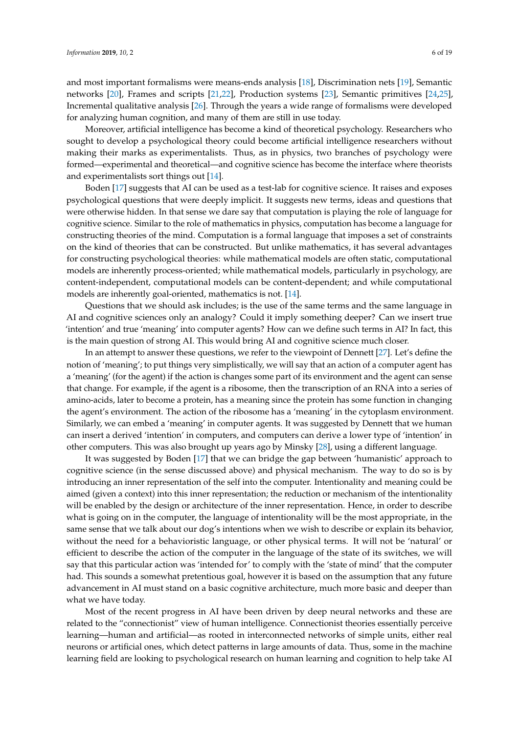and most important formalisms were means-ends analysis [\[18\]](#page-16-4), Discrimination nets [\[19\]](#page-16-5), Semantic networks [\[20\]](#page-16-6), Frames and scripts [\[21](#page-16-7)[,22\]](#page-16-8), Production systems [\[23\]](#page-16-9), Semantic primitives [\[24,](#page-16-10)[25\]](#page-16-11), Incremental qualitative analysis [\[26\]](#page-16-12). Through the years a wide range of formalisms were developed for analyzing human cognition, and many of them are still in use today.

Moreover, artificial intelligence has become a kind of theoretical psychology. Researchers who sought to develop a psychological theory could become artificial intelligence researchers without making their marks as experimentalists. Thus, as in physics, two branches of psychology were formed—experimental and theoretical—and cognitive science has become the interface where theorists and experimentalists sort things out [\[14\]](#page-16-0).

Boden [\[17\]](#page-16-3) suggests that AI can be used as a test-lab for cognitive science. It raises and exposes psychological questions that were deeply implicit. It suggests new terms, ideas and questions that were otherwise hidden. In that sense we dare say that computation is playing the role of language for cognitive science. Similar to the role of mathematics in physics, computation has become a language for constructing theories of the mind. Computation is a formal language that imposes a set of constraints on the kind of theories that can be constructed. But unlike mathematics, it has several advantages for constructing psychological theories: while mathematical models are often static, computational models are inherently process-oriented; while mathematical models, particularly in psychology, are content-independent, computational models can be content-dependent; and while computational models are inherently goal-oriented, mathematics is not. [\[14\]](#page-16-0).

Questions that we should ask includes; is the use of the same terms and the same language in AI and cognitive sciences only an analogy? Could it imply something deeper? Can we insert true 'intention' and true 'meaning' into computer agents? How can we define such terms in AI? In fact, this is the main question of strong AI. This would bring AI and cognitive science much closer.

In an attempt to answer these questions, we refer to the viewpoint of Dennett [\[27\]](#page-16-13). Let's define the notion of 'meaning'; to put things very simplistically, we will say that an action of a computer agent has a 'meaning' (for the agent) if the action is changes some part of its environment and the agent can sense that change. For example, if the agent is a ribosome, then the transcription of an RNA into a series of amino-acids, later to become a protein, has a meaning since the protein has some function in changing the agent's environment. The action of the ribosome has a 'meaning' in the cytoplasm environment. Similarly, we can embed a 'meaning' in computer agents. It was suggested by Dennett that we human can insert a derived 'intention' in computers, and computers can derive a lower type of 'intention' in other computers. This was also brought up years ago by Minsky [\[28\]](#page-16-14), using a different language.

It was suggested by Boden [\[17\]](#page-16-3) that we can bridge the gap between 'humanistic' approach to cognitive science (in the sense discussed above) and physical mechanism. The way to do so is by introducing an inner representation of the self into the computer. Intentionality and meaning could be aimed (given a context) into this inner representation; the reduction or mechanism of the intentionality will be enabled by the design or architecture of the inner representation. Hence, in order to describe what is going on in the computer, the language of intentionality will be the most appropriate, in the same sense that we talk about our dog's intentions when we wish to describe or explain its behavior, without the need for a behavioristic language, or other physical terms. It will not be 'natural' or efficient to describe the action of the computer in the language of the state of its switches, we will say that this particular action was 'intended for' to comply with the 'state of mind' that the computer had. This sounds a somewhat pretentious goal, however it is based on the assumption that any future advancement in AI must stand on a basic cognitive architecture, much more basic and deeper than what we have today.

Most of the recent progress in AI have been driven by deep neural networks and these are related to the "connectionist" view of human intelligence. Connectionist theories essentially perceive learning—human and artificial—as rooted in interconnected networks of simple units, either real neurons or artificial ones, which detect patterns in large amounts of data. Thus, some in the machine learning field are looking to psychological research on human learning and cognition to help take AI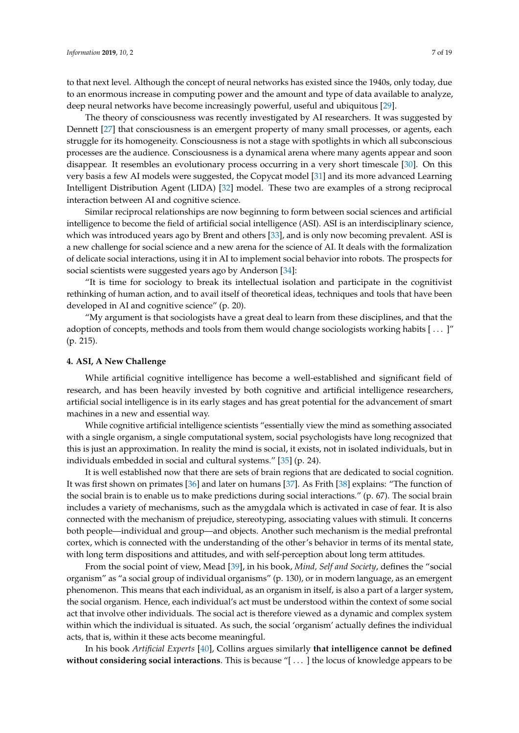to that next level. Although the concept of neural networks has existed since the 1940s, only today, due to an enormous increase in computing power and the amount and type of data available to analyze, deep neural networks have become increasingly powerful, useful and ubiquitous [\[29\]](#page-16-15).

The theory of consciousness was recently investigated by AI researchers. It was suggested by Dennett [\[27\]](#page-16-13) that consciousness is an emergent property of many small processes, or agents, each struggle for its homogeneity. Consciousness is not a stage with spotlights in which all subconscious processes are the audience. Consciousness is a dynamical arena where many agents appear and soon disappear. It resembles an evolutionary process occurring in a very short timescale [\[30\]](#page-16-16). On this very basis a few AI models were suggested, the Copycat model [\[31\]](#page-16-17) and its more advanced Learning Intelligent Distribution Agent (LIDA) [\[32\]](#page-16-18) model. These two are examples of a strong reciprocal interaction between AI and cognitive science.

Similar reciprocal relationships are now beginning to form between social sciences and artificial intelligence to become the field of artificial social intelligence (ASI). ASI is an interdisciplinary science, which was introduced years ago by Brent and others [\[33\]](#page-16-19), and is only now becoming prevalent. ASI is a new challenge for social science and a new arena for the science of AI. It deals with the formalization of delicate social interactions, using it in AI to implement social behavior into robots. The prospects for social scientists were suggested years ago by Anderson [\[34\]](#page-16-20):

"It is time for sociology to break its intellectual isolation and participate in the cognitivist rethinking of human action, and to avail itself of theoretical ideas, techniques and tools that have been developed in AI and cognitive science" (p. 20).

"My argument is that sociologists have a great deal to learn from these disciplines, and that the adoption of concepts, methods and tools from them would change sociologists working habits [ . . . ]" (p. 215).

## <span id="page-6-0"></span>**4. ASI, A New Challenge**

While artificial cognitive intelligence has become a well-established and significant field of research, and has been heavily invested by both cognitive and artificial intelligence researchers, artificial social intelligence is in its early stages and has great potential for the advancement of smart machines in a new and essential way.

While cognitive artificial intelligence scientists "essentially view the mind as something associated with a single organism, a single computational system, social psychologists have long recognized that this is just an approximation. In reality the mind is social, it exists, not in isolated individuals, but in individuals embedded in social and cultural systems." [\[35\]](#page-16-21) (p. 24).

It is well established now that there are sets of brain regions that are dedicated to social cognition. It was first shown on primates [\[36\]](#page-16-22) and later on humans [\[37\]](#page-16-23). As Frith [\[38\]](#page-16-24) explains: "The function of the social brain is to enable us to make predictions during social interactions." (p. 67). The social brain includes a variety of mechanisms, such as the amygdala which is activated in case of fear. It is also connected with the mechanism of prejudice, stereotyping, associating values with stimuli. It concerns both people—individual and group—and objects. Another such mechanism is the medial prefrontal cortex, which is connected with the understanding of the other's behavior in terms of its mental state, with long term dispositions and attitudes, and with self-perception about long term attitudes.

From the social point of view, Mead [\[39\]](#page-16-25), in his book, *Mind, Self and Society*, defines the "social organism" as "a social group of individual organisms" (p. 130), or in modern language, as an emergent phenomenon. This means that each individual, as an organism in itself, is also a part of a larger system, the social organism. Hence, each individual's act must be understood within the context of some social act that involve other individuals. The social act is therefore viewed as a dynamic and complex system within which the individual is situated. As such, the social 'organism' actually defines the individual acts, that is, within it these acts become meaningful.

In his book *Artificial Experts* [\[40\]](#page-16-26), Collins argues similarly **that intelligence cannot be defined without considering social interactions**. This is because "[ . . . ] the locus of knowledge appears to be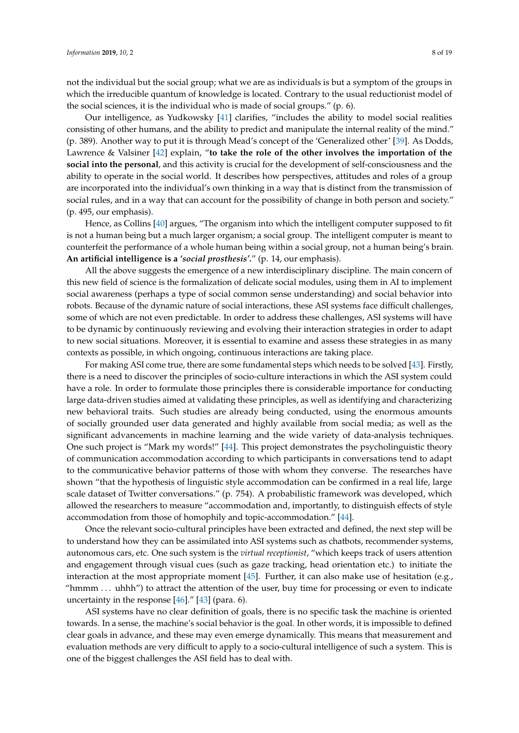not the individual but the social group; what we are as individuals is but a symptom of the groups in which the irreducible quantum of knowledge is located. Contrary to the usual reductionist model of the social sciences, it is the individual who is made of social groups." (p. 6).

Our intelligence, as Yudkowsky [\[41\]](#page-16-27) clarifies, "includes the ability to model social realities consisting of other humans, and the ability to predict and manipulate the internal reality of the mind." (p. 389). Another way to put it is through Mead's concept of the 'Generalized other' [\[39\]](#page-16-25). As Dodds, Lawrence & Valsiner [\[42\]](#page-16-28) explain, "**to take the role of the other involves the importation of the social into the personal**, and this activity is crucial for the development of self-consciousness and the ability to operate in the social world. It describes how perspectives, attitudes and roles of a group are incorporated into the individual's own thinking in a way that is distinct from the transmission of social rules, and in a way that can account for the possibility of change in both person and society." (p. 495, our emphasis).

Hence, as Collins [\[40\]](#page-16-26) argues, "The organism into which the intelligent computer supposed to fit is not a human being but a much larger organism; a social group. The intelligent computer is meant to counterfeit the performance of a whole human being within a social group, not a human being's brain. **An artificial intelligence is a** *'social prosthesis'***.**" (p. 14, our emphasis).

All the above suggests the emergence of a new interdisciplinary discipline. The main concern of this new field of science is the formalization of delicate social modules, using them in AI to implement social awareness (perhaps a type of social common sense understanding) and social behavior into robots. Because of the dynamic nature of social interactions, these ASI systems face difficult challenges, some of which are not even predictable. In order to address these challenges, ASI systems will have to be dynamic by continuously reviewing and evolving their interaction strategies in order to adapt to new social situations. Moreover, it is essential to examine and assess these strategies in as many contexts as possible, in which ongoing, continuous interactions are taking place.

For making ASI come true, there are some fundamental steps which needs to be solved [\[43\]](#page-17-0). Firstly, there is a need to discover the principles of socio-culture interactions in which the ASI system could have a role. In order to formulate those principles there is considerable importance for conducting large data-driven studies aimed at validating these principles, as well as identifying and characterizing new behavioral traits. Such studies are already being conducted, using the enormous amounts of socially grounded user data generated and highly available from social media; as well as the significant advancements in machine learning and the wide variety of data-analysis techniques. One such project is "Mark my words!" [\[44\]](#page-17-1). This project demonstrates the psycholinguistic theory of communication accommodation according to which participants in conversations tend to adapt to the communicative behavior patterns of those with whom they converse. The researches have shown "that the hypothesis of linguistic style accommodation can be confirmed in a real life, large scale dataset of Twitter conversations." (p. 754). A probabilistic framework was developed, which allowed the researchers to measure "accommodation and, importantly, to distinguish effects of style accommodation from those of homophily and topic-accommodation." [\[44\]](#page-17-1).

Once the relevant socio-cultural principles have been extracted and defined, the next step will be to understand how they can be assimilated into ASI systems such as chatbots, recommender systems, autonomous cars, etc. One such system is the *virtual receptionist*, "which keeps track of users attention and engagement through visual cues (such as gaze tracking, head orientation etc.) to initiate the interaction at the most appropriate moment [\[45\]](#page-17-2). Further, it can also make use of hesitation (e.g., "hmmm . . . uhhh") to attract the attention of the user, buy time for processing or even to indicate uncertainty in the response [\[46\]](#page-17-3)." [\[43\]](#page-17-0) (para. 6).

ASI systems have no clear definition of goals, there is no specific task the machine is oriented towards. In a sense, the machine's social behavior is the goal. In other words, it is impossible to defined clear goals in advance, and these may even emerge dynamically. This means that measurement and evaluation methods are very difficult to apply to a socio-cultural intelligence of such a system. This is one of the biggest challenges the ASI field has to deal with.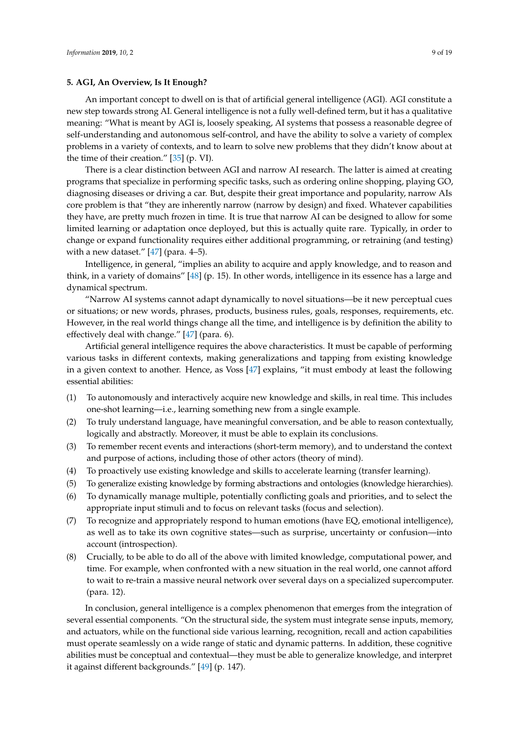## <span id="page-8-0"></span>**5. AGI, An Overview, Is It Enough?**

An important concept to dwell on is that of artificial general intelligence (AGI). AGI constitute a new step towards strong AI. General intelligence is not a fully well-defined term, but it has a qualitative meaning: "What is meant by AGI is, loosely speaking, AI systems that possess a reasonable degree of self-understanding and autonomous self-control, and have the ability to solve a variety of complex problems in a variety of contexts, and to learn to solve new problems that they didn't know about at the time of their creation." [\[35\]](#page-16-21) (p. VI).

There is a clear distinction between AGI and narrow AI research. The latter is aimed at creating programs that specialize in performing specific tasks, such as ordering online shopping, playing GO, diagnosing diseases or driving a car. But, despite their great importance and popularity, narrow AIs core problem is that "they are inherently narrow (narrow by design) and fixed. Whatever capabilities they have, are pretty much frozen in time. It is true that narrow AI can be designed to allow for some limited learning or adaptation once deployed, but this is actually quite rare. Typically, in order to change or expand functionality requires either additional programming, or retraining (and testing) with a new dataset."  $[47]$  (para. 4–5).

Intelligence, in general, "implies an ability to acquire and apply knowledge, and to reason and think, in a variety of domains" [\[48\]](#page-17-5) (p. 15). In other words, intelligence in its essence has a large and dynamical spectrum.

"Narrow AI systems cannot adapt dynamically to novel situations—be it new perceptual cues or situations; or new words, phrases, products, business rules, goals, responses, requirements, etc. However, in the real world things change all the time, and intelligence is by definition the ability to effectively deal with change." [\[47\]](#page-17-4) (para. 6).

Artificial general intelligence requires the above characteristics. It must be capable of performing various tasks in different contexts, making generalizations and tapping from existing knowledge in a given context to another. Hence, as Voss [\[47\]](#page-17-4) explains, "it must embody at least the following essential abilities:

- (1) To autonomously and interactively acquire new knowledge and skills, in real time. This includes one-shot learning—i.e., learning something new from a single example.
- (2) To truly understand language, have meaningful conversation, and be able to reason contextually, logically and abstractly. Moreover, it must be able to explain its conclusions.
- (3) To remember recent events and interactions (short-term memory), and to understand the context and purpose of actions, including those of other actors (theory of mind).
- (4) To proactively use existing knowledge and skills to accelerate learning (transfer learning).
- (5) To generalize existing knowledge by forming abstractions and ontologies (knowledge hierarchies).
- (6) To dynamically manage multiple, potentially conflicting goals and priorities, and to select the appropriate input stimuli and to focus on relevant tasks (focus and selection).
- (7) To recognize and appropriately respond to human emotions (have EQ, emotional intelligence), as well as to take its own cognitive states—such as surprise, uncertainty or confusion—into account (introspection).
- (8) Crucially, to be able to do all of the above with limited knowledge, computational power, and time. For example, when confronted with a new situation in the real world, one cannot afford to wait to re-train a massive neural network over several days on a specialized supercomputer. (para. 12).

In conclusion, general intelligence is a complex phenomenon that emerges from the integration of several essential components. "On the structural side, the system must integrate sense inputs, memory, and actuators, while on the functional side various learning, recognition, recall and action capabilities must operate seamlessly on a wide range of static and dynamic patterns. In addition, these cognitive abilities must be conceptual and contextual—they must be able to generalize knowledge, and interpret it against different backgrounds." [\[49\]](#page-17-6) (p. 147).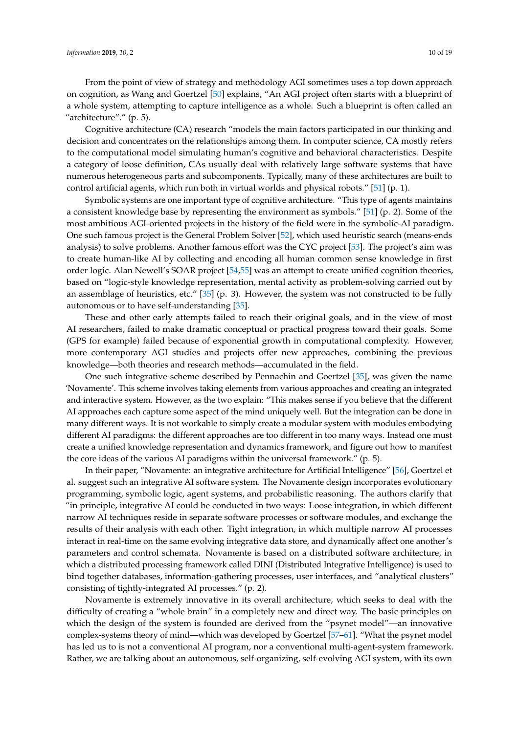From the point of view of strategy and methodology AGI sometimes uses a top down approach on cognition, as Wang and Goertzel [\[50\]](#page-17-7) explains, "An AGI project often starts with a blueprint of a whole system, attempting to capture intelligence as a whole. Such a blueprint is often called an "architecture"." (p. 5).

Cognitive architecture (CA) research "models the main factors participated in our thinking and decision and concentrates on the relationships among them. In computer science, CA mostly refers to the computational model simulating human's cognitive and behavioral characteristics. Despite a category of loose definition, CAs usually deal with relatively large software systems that have numerous heterogeneous parts and subcomponents. Typically, many of these architectures are built to control artificial agents, which run both in virtual worlds and physical robots." [\[51\]](#page-17-8) (p. 1).

Symbolic systems are one important type of cognitive architecture. "This type of agents maintains a consistent knowledge base by representing the environment as symbols." [\[51\]](#page-17-8) (p. 2). Some of the most ambitious AGI-oriented projects in the history of the field were in the symbolic-AI paradigm. One such famous project is the General Problem Solver [\[52\]](#page-17-9), which used heuristic search (means-ends analysis) to solve problems. Another famous effort was the CYC project [\[53\]](#page-17-10). The project's aim was to create human-like AI by collecting and encoding all human common sense knowledge in first order logic. Alan Newell's SOAR project [\[54](#page-17-11)[,55\]](#page-17-12) was an attempt to create unified cognition theories, based on "logic-style knowledge representation, mental activity as problem-solving carried out by an assemblage of heuristics, etc." [\[35\]](#page-16-21) (p. 3). However, the system was not constructed to be fully autonomous or to have self-understanding [\[35\]](#page-16-21).

These and other early attempts failed to reach their original goals, and in the view of most AI researchers, failed to make dramatic conceptual or practical progress toward their goals. Some (GPS for example) failed because of exponential growth in computational complexity. However, more contemporary AGI studies and projects offer new approaches, combining the previous knowledge—both theories and research methods—accumulated in the field.

One such integrative scheme described by Pennachin and Goertzel [\[35\]](#page-16-21), was given the name 'Novamente'. This scheme involves taking elements from various approaches and creating an integrated and interactive system. However, as the two explain: "This makes sense if you believe that the different AI approaches each capture some aspect of the mind uniquely well. But the integration can be done in many different ways. It is not workable to simply create a modular system with modules embodying different AI paradigms: the different approaches are too different in too many ways. Instead one must create a unified knowledge representation and dynamics framework, and figure out how to manifest the core ideas of the various AI paradigms within the universal framework." (p. 5).

In their paper, "Novamente: an integrative architecture for Artificial Intelligence" [\[56\]](#page-17-13), Goertzel et al. suggest such an integrative AI software system. The Novamente design incorporates evolutionary programming, symbolic logic, agent systems, and probabilistic reasoning. The authors clarify that "in principle, integrative AI could be conducted in two ways: Loose integration, in which different narrow AI techniques reside in separate software processes or software modules, and exchange the results of their analysis with each other. Tight integration, in which multiple narrow AI processes interact in real-time on the same evolving integrative data store, and dynamically affect one another's parameters and control schemata. Novamente is based on a distributed software architecture, in which a distributed processing framework called DINI (Distributed Integrative Intelligence) is used to bind together databases, information-gathering processes, user interfaces, and "analytical clusters" consisting of tightly-integrated AI processes." (p. 2).

Novamente is extremely innovative in its overall architecture, which seeks to deal with the difficulty of creating a "whole brain" in a completely new and direct way. The basic principles on which the design of the system is founded are derived from the "psynet model"—an innovative complex-systems theory of mind—which was developed by Goertzel [\[57–](#page-17-14)[61\]](#page-17-15). "What the psynet model has led us to is not a conventional AI program, nor a conventional multi-agent-system framework. Rather, we are talking about an autonomous, self-organizing, self-evolving AGI system, with its own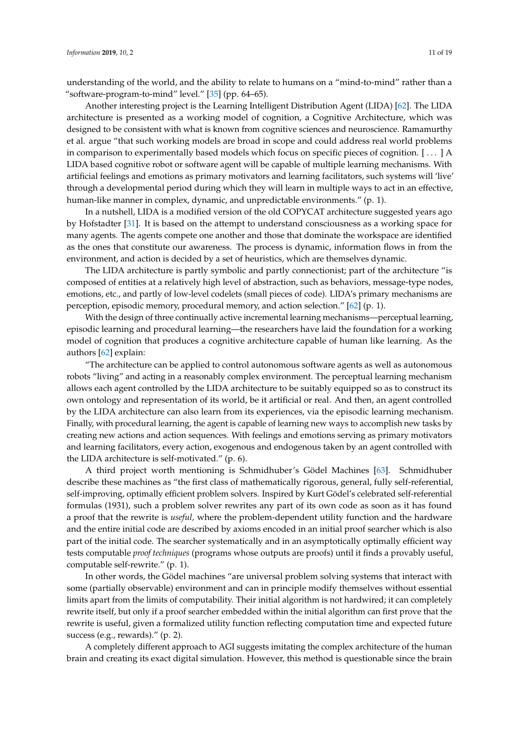understanding of the world, and the ability to relate to humans on a "mind-to-mind" rather than a "software-program-to-mind" level."  $[35]$  (pp. 64–65).

Another interesting project is the Learning Intelligent Distribution Agent (LIDA) [\[62\]](#page-17-16). The LIDA architecture is presented as a working model of cognition, a Cognitive Architecture, which was designed to be consistent with what is known from cognitive sciences and neuroscience. Ramamurthy et al. argue "that such working models are broad in scope and could address real world problems in comparison to experimentally based models which focus on specific pieces of cognition. [ . . . ] A LIDA based cognitive robot or software agent will be capable of multiple learning mechanisms. With artificial feelings and emotions as primary motivators and learning facilitators, such systems will 'live' through a developmental period during which they will learn in multiple ways to act in an effective, human-like manner in complex, dynamic, and unpredictable environments." (p. 1).

In a nutshell, LIDA is a modified version of the old COPYCAT architecture suggested years ago by Hofstadter [\[31\]](#page-16-17). It is based on the attempt to understand consciousness as a working space for many agents. The agents compete one another and those that dominate the workspace are identified as the ones that constitute our awareness. The process is dynamic, information flows in from the environment, and action is decided by a set of heuristics, which are themselves dynamic.

The LIDA architecture is partly symbolic and partly connectionist; part of the architecture "is composed of entities at a relatively high level of abstraction, such as behaviors, message-type nodes, emotions, etc., and partly of low-level codelets (small pieces of code). LIDA's primary mechanisms are perception, episodic memory, procedural memory, and action selection." [\[62\]](#page-17-16) (p. 1).

With the design of three continually active incremental learning mechanisms—perceptual learning, episodic learning and procedural learning—the researchers have laid the foundation for a working model of cognition that produces a cognitive architecture capable of human like learning. As the authors [\[62\]](#page-17-16) explain:

"The architecture can be applied to control autonomous software agents as well as autonomous robots "living" and acting in a reasonably complex environment. The perceptual learning mechanism allows each agent controlled by the LIDA architecture to be suitably equipped so as to construct its own ontology and representation of its world, be it artificial or real. And then, an agent controlled by the LIDA architecture can also learn from its experiences, via the episodic learning mechanism. Finally, with procedural learning, the agent is capable of learning new ways to accomplish new tasks by creating new actions and action sequences. With feelings and emotions serving as primary motivators and learning facilitators, every action, exogenous and endogenous taken by an agent controlled with the LIDA architecture is self-motivated." (p. 6).

A third project worth mentioning is Schmidhuber's Gödel Machines [\[63\]](#page-17-17). Schmidhuber describe these machines as "the first class of mathematically rigorous, general, fully self-referential, self-improving, optimally efficient problem solvers. Inspired by Kurt Gödel's celebrated self-referential formulas (1931), such a problem solver rewrites any part of its own code as soon as it has found a proof that the rewrite is *useful,* where the problem-dependent utility function and the hardware and the entire initial code are described by axioms encoded in an initial proof searcher which is also part of the initial code. The searcher systematically and in an asymptotically optimally efficient way tests computable *proof techniques* (programs whose outputs are proofs) until it finds a provably useful, computable self-rewrite." (p. 1).

In other words, the Gödel machines "are universal problem solving systems that interact with some (partially observable) environment and can in principle modify themselves without essential limits apart from the limits of computability. Their initial algorithm is not hardwired; it can completely rewrite itself, but only if a proof searcher embedded within the initial algorithm can first prove that the rewrite is useful, given a formalized utility function reflecting computation time and expected future success (e.g., rewards)." (p. 2).

A completely different approach to AGI suggests imitating the complex architecture of the human brain and creating its exact digital simulation. However, this method is questionable since the brain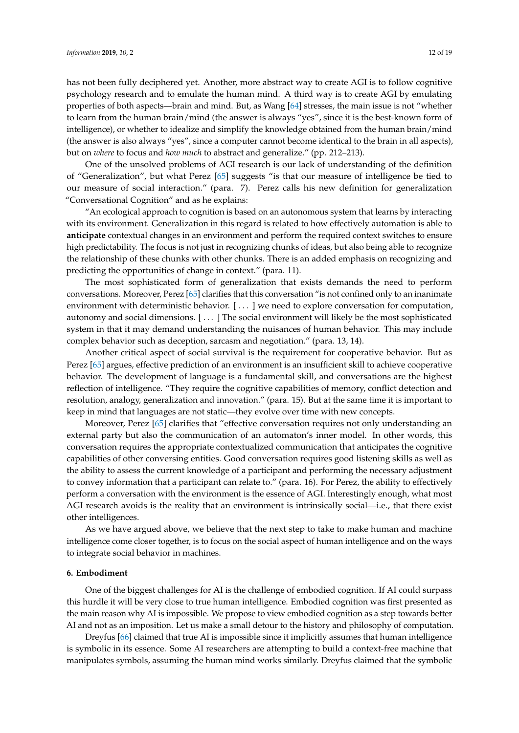has not been fully deciphered yet. Another, more abstract way to create AGI is to follow cognitive psychology research and to emulate the human mind. A third way is to create AGI by emulating properties of both aspects—brain and mind. But, as Wang [\[64\]](#page-17-18) stresses, the main issue is not "whether to learn from the human brain/mind (the answer is always "yes", since it is the best-known form of intelligence), or whether to idealize and simplify the knowledge obtained from the human brain/mind (the answer is also always "yes", since a computer cannot become identical to the brain in all aspects), but on *where* to focus and *how much* to abstract and generalize." (pp. 212–213).

One of the unsolved problems of AGI research is our lack of understanding of the definition of "Generalization", but what Perez [\[65\]](#page-17-19) suggests "is that our measure of intelligence be tied to our measure of social interaction." (para. 7). Perez calls his new definition for generalization "Conversational Cognition" and as he explains:

"An ecological approach to cognition is based on an autonomous system that learns by interacting with its environment. Generalization in this regard is related to how effectively automation is able to **anticipate** contextual changes in an environment and perform the required context switches to ensure high predictability. The focus is not just in recognizing chunks of ideas, but also being able to recognize the relationship of these chunks with other chunks. There is an added emphasis on recognizing and predicting the opportunities of change in context." (para. 11).

The most sophisticated form of generalization that exists demands the need to perform conversations. Moreover, Perez [\[65\]](#page-17-19) clarifies that this conversation "is not confined only to an inanimate environment with deterministic behavior. [ . . . ] we need to explore conversation for computation, autonomy and social dimensions. [ . . . ] The social environment will likely be the most sophisticated system in that it may demand understanding the nuisances of human behavior. This may include complex behavior such as deception, sarcasm and negotiation." (para. 13, 14).

Another critical aspect of social survival is the requirement for cooperative behavior. But as Perez [\[65\]](#page-17-19) argues, effective prediction of an environment is an insufficient skill to achieve cooperative behavior. The development of language is a fundamental skill, and conversations are the highest reflection of intelligence. "They require the cognitive capabilities of memory, conflict detection and resolution, analogy, generalization and innovation." (para. 15). But at the same time it is important to keep in mind that languages are not static—they evolve over time with new concepts.

Moreover, Perez [\[65\]](#page-17-19) clarifies that "effective conversation requires not only understanding an external party but also the communication of an automaton's inner model. In other words, this conversation requires the appropriate contextualized communication that anticipates the cognitive capabilities of other conversing entities. Good conversation requires good listening skills as well as the ability to assess the current knowledge of a participant and performing the necessary adjustment to convey information that a participant can relate to." (para. 16). For Perez, the ability to effectively perform a conversation with the environment is the essence of AGI. Interestingly enough, what most AGI research avoids is the reality that an environment is intrinsically social—i.e., that there exist other intelligences.

As we have argued above, we believe that the next step to take to make human and machine intelligence come closer together, is to focus on the social aspect of human intelligence and on the ways to integrate social behavior in machines.

#### <span id="page-11-0"></span>**6. Embodiment**

One of the biggest challenges for AI is the challenge of embodied cognition. If AI could surpass this hurdle it will be very close to true human intelligence. Embodied cognition was first presented as the main reason why AI is impossible. We propose to view embodied cognition as a step towards better AI and not as an imposition. Let us make a small detour to the history and philosophy of computation.

Dreyfus [\[66\]](#page-17-20) claimed that true AI is impossible since it implicitly assumes that human intelligence is symbolic in its essence. Some AI researchers are attempting to build a context-free machine that manipulates symbols, assuming the human mind works similarly. Dreyfus claimed that the symbolic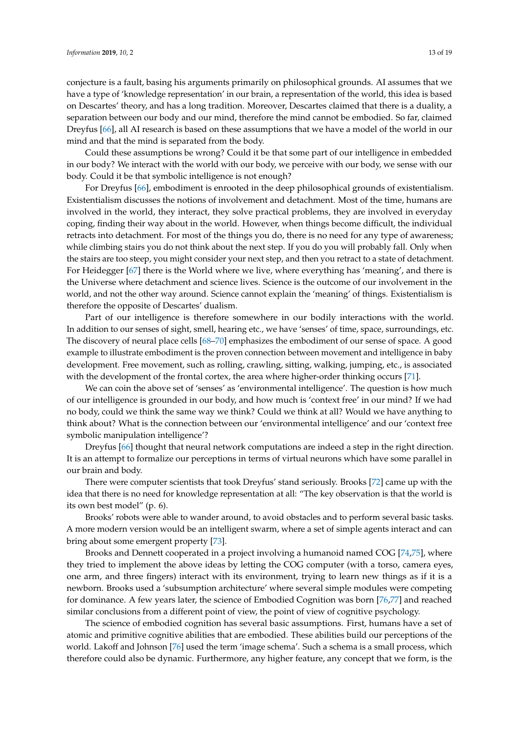conjecture is a fault, basing his arguments primarily on philosophical grounds. AI assumes that we have a type of 'knowledge representation' in our brain, a representation of the world, this idea is based on Descartes' theory, and has a long tradition. Moreover, Descartes claimed that there is a duality, a separation between our body and our mind, therefore the mind cannot be embodied. So far, claimed Dreyfus [\[66\]](#page-17-20), all AI research is based on these assumptions that we have a model of the world in our mind and that the mind is separated from the body.

Could these assumptions be wrong? Could it be that some part of our intelligence in embedded in our body? We interact with the world with our body, we perceive with our body, we sense with our body. Could it be that symbolic intelligence is not enough?

For Dreyfus [\[66\]](#page-17-20), embodiment is enrooted in the deep philosophical grounds of existentialism. Existentialism discusses the notions of involvement and detachment. Most of the time, humans are involved in the world, they interact, they solve practical problems, they are involved in everyday coping, finding their way about in the world. However, when things become difficult, the individual retracts into detachment. For most of the things you do, there is no need for any type of awareness; while climbing stairs you do not think about the next step. If you do you will probably fall. Only when the stairs are too steep, you might consider your next step, and then you retract to a state of detachment. For Heidegger [\[67\]](#page-17-21) there is the World where we live, where everything has 'meaning', and there is the Universe where detachment and science lives. Science is the outcome of our involvement in the world, and not the other way around. Science cannot explain the 'meaning' of things. Existentialism is therefore the opposite of Descartes' dualism.

Part of our intelligence is therefore somewhere in our bodily interactions with the world. In addition to our senses of sight, smell, hearing etc., we have 'senses' of time, space, surroundings, etc. The discovery of neural place cells [\[68](#page-17-22)[–70\]](#page-18-0) emphasizes the embodiment of our sense of space. A good example to illustrate embodiment is the proven connection between movement and intelligence in baby development. Free movement, such as rolling, crawling, sitting, walking, jumping, etc., is associated with the development of the frontal cortex, the area where higher-order thinking occurs [\[71\]](#page-18-1).

We can coin the above set of 'senses' as 'environmental intelligence'. The question is how much of our intelligence is grounded in our body, and how much is 'context free' in our mind? If we had no body, could we think the same way we think? Could we think at all? Would we have anything to think about? What is the connection between our 'environmental intelligence' and our 'context free symbolic manipulation intelligence'?

Dreyfus [\[66\]](#page-17-20) thought that neural network computations are indeed a step in the right direction. It is an attempt to formalize our perceptions in terms of virtual neurons which have some parallel in our brain and body.

There were computer scientists that took Dreyfus' stand seriously. Brooks [\[72\]](#page-18-2) came up with the idea that there is no need for knowledge representation at all: "The key observation is that the world is its own best model" (p. 6).

Brooks' robots were able to wander around, to avoid obstacles and to perform several basic tasks. A more modern version would be an intelligent swarm, where a set of simple agents interact and can bring about some emergent property [\[73\]](#page-18-3).

Brooks and Dennett cooperated in a project involving a humanoid named COG [\[74](#page-18-4)[,75\]](#page-18-5), where they tried to implement the above ideas by letting the COG computer (with a torso, camera eyes, one arm, and three fingers) interact with its environment, trying to learn new things as if it is a newborn. Brooks used a 'subsumption architecture' where several simple modules were competing for dominance. A few years later, the science of Embodied Cognition was born [\[76,](#page-18-6)[77\]](#page-18-7) and reached similar conclusions from a different point of view, the point of view of cognitive psychology.

The science of embodied cognition has several basic assumptions. First, humans have a set of atomic and primitive cognitive abilities that are embodied. These abilities build our perceptions of the world. Lakoff and Johnson [\[76\]](#page-18-6) used the term 'image schema'. Such a schema is a small process, which therefore could also be dynamic. Furthermore, any higher feature, any concept that we form, is the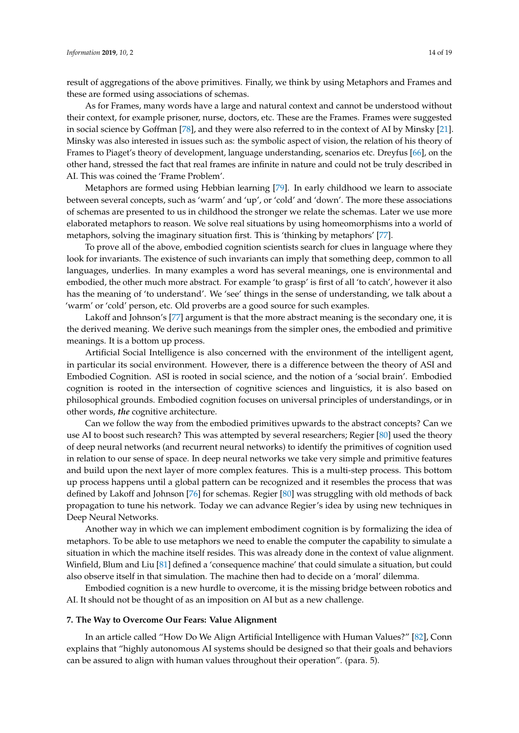result of aggregations of the above primitives. Finally, we think by using Metaphors and Frames and these are formed using associations of schemas.

As for Frames, many words have a large and natural context and cannot be understood without their context, for example prisoner, nurse, doctors, etc. These are the Frames. Frames were suggested in social science by Goffman [\[78\]](#page-18-8), and they were also referred to in the context of AI by Minsky [\[21\]](#page-16-7). Minsky was also interested in issues such as: the symbolic aspect of vision, the relation of his theory of Frames to Piaget's theory of development, language understanding, scenarios etc. Dreyfus [\[66\]](#page-17-20), on the other hand, stressed the fact that real frames are infinite in nature and could not be truly described in AI. This was coined the 'Frame Problem'.

Metaphors are formed using Hebbian learning [\[79\]](#page-18-9). In early childhood we learn to associate between several concepts, such as 'warm' and 'up', or 'cold' and 'down'. The more these associations of schemas are presented to us in childhood the stronger we relate the schemas. Later we use more elaborated metaphors to reason. We solve real situations by using homeomorphisms into a world of metaphors, solving the imaginary situation first. This is 'thinking by metaphors' [\[77\]](#page-18-7).

To prove all of the above, embodied cognition scientists search for clues in language where they look for invariants. The existence of such invariants can imply that something deep, common to all languages, underlies. In many examples a word has several meanings, one is environmental and embodied, the other much more abstract. For example 'to grasp' is first of all 'to catch', however it also has the meaning of 'to understand'. We 'see' things in the sense of understanding, we talk about a 'warm' or 'cold' person, etc. Old proverbs are a good source for such examples.

Lakoff and Johnson's [\[77\]](#page-18-7) argument is that the more abstract meaning is the secondary one, it is the derived meaning. We derive such meanings from the simpler ones, the embodied and primitive meanings. It is a bottom up process.

Artificial Social Intelligence is also concerned with the environment of the intelligent agent, in particular its social environment. However, there is a difference between the theory of ASI and Embodied Cognition. ASI is rooted in social science, and the notion of a 'social brain'. Embodied cognition is rooted in the intersection of cognitive sciences and linguistics, it is also based on philosophical grounds. Embodied cognition focuses on universal principles of understandings, or in other words, *the* cognitive architecture.

Can we follow the way from the embodied primitives upwards to the abstract concepts? Can we use AI to boost such research? This was attempted by several researchers; Regier [\[80\]](#page-18-10) used the theory of deep neural networks (and recurrent neural networks) to identify the primitives of cognition used in relation to our sense of space. In deep neural networks we take very simple and primitive features and build upon the next layer of more complex features. This is a multi-step process. This bottom up process happens until a global pattern can be recognized and it resembles the process that was defined by Lakoff and Johnson [\[76\]](#page-18-6) for schemas. Regier [\[80\]](#page-18-10) was struggling with old methods of back propagation to tune his network. Today we can advance Regier's idea by using new techniques in Deep Neural Networks.

Another way in which we can implement embodiment cognition is by formalizing the idea of metaphors. To be able to use metaphors we need to enable the computer the capability to simulate a situation in which the machine itself resides. This was already done in the context of value alignment. Winfield, Blum and Liu [\[81\]](#page-18-11) defined a 'consequence machine' that could simulate a situation, but could also observe itself in that simulation. The machine then had to decide on a 'moral' dilemma.

Embodied cognition is a new hurdle to overcome, it is the missing bridge between robotics and AI. It should not be thought of as an imposition on AI but as a new challenge.

#### <span id="page-13-0"></span>**7. The Way to Overcome Our Fears: Value Alignment**

In an article called "How Do We Align Artificial Intelligence with Human Values?" [\[82\]](#page-18-12), Conn explains that "highly autonomous AI systems should be designed so that their goals and behaviors can be assured to align with human values throughout their operation". (para. 5).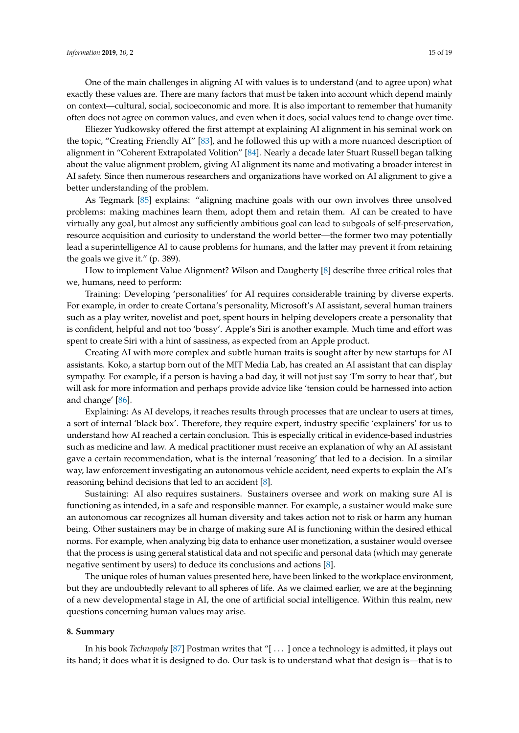One of the main challenges in aligning AI with values is to understand (and to agree upon) what exactly these values are. There are many factors that must be taken into account which depend mainly on context—cultural, social, socioeconomic and more. It is also important to remember that humanity often does not agree on common values, and even when it does, social values tend to change over time.

Eliezer Yudkowsky offered the first attempt at explaining AI alignment in his seminal work on the topic, "Creating Friendly AI" [\[83\]](#page-18-13), and he followed this up with a more nuanced description of alignment in "Coherent Extrapolated Volition" [\[84\]](#page-18-14). Nearly a decade later Stuart Russell began talking about the value alignment problem, giving AI alignment its name and motivating a broader interest in AI safety. Since then numerous researchers and organizations have worked on AI alignment to give a better understanding of the problem.

As Tegmark [\[85\]](#page-18-15) explains: "aligning machine goals with our own involves three unsolved problems: making machines learn them, adopt them and retain them. AI can be created to have virtually any goal, but almost any sufficiently ambitious goal can lead to subgoals of self-preservation, resource acquisition and curiosity to understand the world better—the former two may potentially lead a superintelligence AI to cause problems for humans, and the latter may prevent it from retaining the goals we give it." (p. 389).

How to implement Value Alignment? Wilson and Daugherty [\[8\]](#page-15-7) describe three critical roles that we, humans, need to perform:

Training: Developing 'personalities' for AI requires considerable training by diverse experts. For example, in order to create Cortana's personality, Microsoft's AI assistant, several human trainers such as a play writer, novelist and poet, spent hours in helping developers create a personality that is confident, helpful and not too 'bossy'. Apple's Siri is another example. Much time and effort was spent to create Siri with a hint of sassiness, as expected from an Apple product.

Creating AI with more complex and subtle human traits is sought after by new startups for AI assistants. Koko, a startup born out of the MIT Media Lab, has created an AI assistant that can display sympathy. For example, if a person is having a bad day, it will not just say 'I'm sorry to hear that', but will ask for more information and perhaps provide advice like 'tension could be harnessed into action and change' [\[86\]](#page-18-16).

Explaining: As AI develops, it reaches results through processes that are unclear to users at times, a sort of internal 'black box'. Therefore, they require expert, industry specific 'explainers' for us to understand how AI reached a certain conclusion. This is especially critical in evidence-based industries such as medicine and law. A medical practitioner must receive an explanation of why an AI assistant gave a certain recommendation, what is the internal 'reasoning' that led to a decision. In a similar way, law enforcement investigating an autonomous vehicle accident, need experts to explain the AI's reasoning behind decisions that led to an accident [\[8\]](#page-15-7).

Sustaining: AI also requires sustainers. Sustainers oversee and work on making sure AI is functioning as intended, in a safe and responsible manner. For example, a sustainer would make sure an autonomous car recognizes all human diversity and takes action not to risk or harm any human being. Other sustainers may be in charge of making sure AI is functioning within the desired ethical norms. For example, when analyzing big data to enhance user monetization, a sustainer would oversee that the process is using general statistical data and not specific and personal data (which may generate negative sentiment by users) to deduce its conclusions and actions [\[8\]](#page-15-7).

The unique roles of human values presented here, have been linked to the workplace environment, but they are undoubtedly relevant to all spheres of life. As we claimed earlier, we are at the beginning of a new developmental stage in AI, the one of artificial social intelligence. Within this realm, new questions concerning human values may arise.

#### **8. Summary**

In his book *Technopoly* [\[87\]](#page-18-17) Postman writes that "[ . . . ] once a technology is admitted, it plays out its hand; it does what it is designed to do. Our task is to understand what that design is—that is to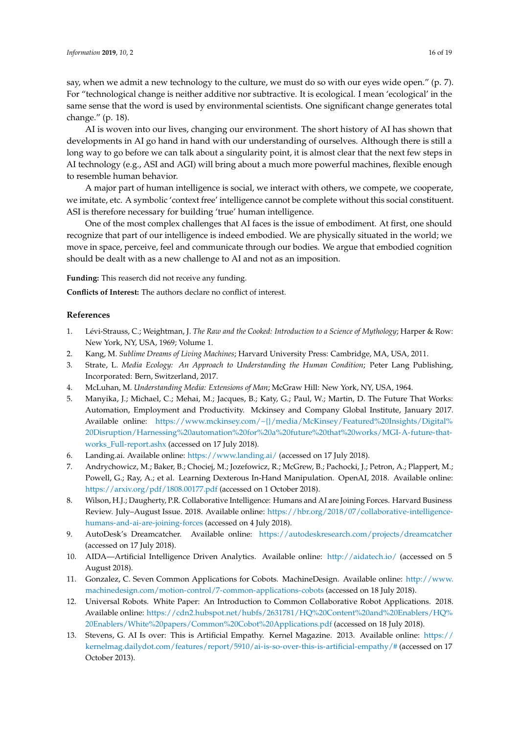say, when we admit a new technology to the culture, we must do so with our eyes wide open." (p. 7). For "technological change is neither additive nor subtractive. It is ecological. I mean 'ecological' in the same sense that the word is used by environmental scientists. One significant change generates total change." (p. 18).

AI is woven into our lives, changing our environment. The short history of AI has shown that developments in AI go hand in hand with our understanding of ourselves. Although there is still a long way to go before we can talk about a singularity point, it is almost clear that the next few steps in AI technology (e.g., ASI and AGI) will bring about a much more powerful machines, flexible enough to resemble human behavior.

A major part of human intelligence is social, we interact with others, we compete, we cooperate, we imitate, etc. A symbolic 'context free' intelligence cannot be complete without this social constituent. ASI is therefore necessary for building 'true' human intelligence.

One of the most complex challenges that AI faces is the issue of embodiment. At first, one should recognize that part of our intelligence is indeed embodied. We are physically situated in the world; we move in space, perceive, feel and communicate through our bodies. We argue that embodied cognition should be dealt with as a new challenge to AI and not as an imposition.

**Funding:** This reaserch did not receive any funding.

**Conflicts of Interest:** The authors declare no conflict of interest.

#### **References**

- <span id="page-15-0"></span>1. Lévi-Strauss, C.; Weightman, J. *The Raw and the Cooked: Introduction to a Science of Mythology*; Harper & Row: New York, NY, USA, 1969; Volume 1.
- <span id="page-15-1"></span>2. Kang, M. *Sublime Dreams of Living Machines*; Harvard University Press: Cambridge, MA, USA, 2011.
- <span id="page-15-2"></span>3. Strate, L. *Media Ecology: An Approach to Understanding the Human Condition*; Peter Lang Publishing, Incorporated: Bern, Switzerland, 2017.
- <span id="page-15-3"></span>4. McLuhan, M. *Understanding Media: Extensions of Man*; McGraw Hill: New York, NY, USA, 1964.
- <span id="page-15-4"></span>5. Manyika, J.; Michael, C.; Mehai, M.; Jacques, B.; Katy, G.; Paul, W.; Martin, D. The Future That Works: Automation, Employment and Productivity. Mckinsey and Company Global Institute, January 2017. Available online: [https://www.mckinsey.com/~{}/media/McKinsey/Featured%20Insights/Digital%](https://www.mckinsey.com/~{}/media/McKinsey/Featured%20Insights/Digital%20Disruption/Harnessing%20automation%20for%20a%20future%20that%20works/MGI-A-future-that-works_Full-report.ashx) [20Disruption/Harnessing%20automation%20for%20a%20future%20that%20works/MGI-A-future-that](https://www.mckinsey.com/~{}/media/McKinsey/Featured%20Insights/Digital%20Disruption/Harnessing%20automation%20for%20a%20future%20that%20works/MGI-A-future-that-works_Full-report.ashx)[works\\_Full-report.ashx](https://www.mckinsey.com/~{}/media/McKinsey/Featured%20Insights/Digital%20Disruption/Harnessing%20automation%20for%20a%20future%20that%20works/MGI-A-future-that-works_Full-report.ashx) (accessed on 17 July 2018).
- <span id="page-15-5"></span>6. Landing.ai. Available online: <https://www.landing.ai/> (accessed on 17 July 2018).
- <span id="page-15-6"></span>7. Andrychowicz, M.; Baker, B.; Chociej, M.; Jozefowicz, R.; McGrew, B.; Pachocki, J.; Petron, A.; Plappert, M.; Powell, G.; Ray, A.; et al. Learning Dexterous In-Hand Manipulation. OpenAI, 2018. Available online: <https://arxiv.org/pdf/1808.00177.pdf> (accessed on 1 October 2018).
- <span id="page-15-7"></span>8. Wilson, H.J.; Daugherty, P.R. Collaborative Intelligence: Humans and AI are Joining Forces. Harvard Business Review. July–August Issue. 2018. Available online: [https://hbr.org/2018/07/collaborative-intelligence](https://hbr.org/2018/07/collaborative-intelligence-humans-and-ai-are-joining-forces)[humans-and-ai-are-joining-forces](https://hbr.org/2018/07/collaborative-intelligence-humans-and-ai-are-joining-forces) (accessed on 4 July 2018).
- <span id="page-15-8"></span>9. AutoDesk's Dreamcatcher. Available online: <https://autodeskresearch.com/projects/dreamcatcher> (accessed on 17 July 2018).
- <span id="page-15-9"></span>10. AIDA—Artificial Intelligence Driven Analytics. Available online: <http://aidatech.io/> (accessed on 5 August 2018).
- <span id="page-15-10"></span>11. Gonzalez, C. Seven Common Applications for Cobots. MachineDesign. Available online: [http://www.](http://www.machinedesign.com/motion-control/7-common-applications-cobots) [machinedesign.com/motion-control/7-common-applications-cobots](http://www.machinedesign.com/motion-control/7-common-applications-cobots) (accessed on 18 July 2018).
- <span id="page-15-11"></span>12. Universal Robots. White Paper: An Introduction to Common Collaborative Robot Applications. 2018. Available online: [https://cdn2.hubspot.net/hubfs/2631781/HQ%20Content%20and%20Enablers/HQ%](https://cdn2.hubspot.net/hubfs/2631781/HQ%20Content%20and%20Enablers/HQ%20Enablers/White%20papers/Common%20Cobot%20Applications.pdf) [20Enablers/White%20papers/Common%20Cobot%20Applications.pdf](https://cdn2.hubspot.net/hubfs/2631781/HQ%20Content%20and%20Enablers/HQ%20Enablers/White%20papers/Common%20Cobot%20Applications.pdf) (accessed on 18 July 2018).
- <span id="page-15-12"></span>13. Stevens, G. AI Is over: This is Artificial Empathy. Kernel Magazine. 2013. Available online: [https://](https://kernelmag.dailydot.com/features/report/5910/ai-is-so-over-this-is-artificial-empathy/#) [kernelmag.dailydot.com/features/report/5910/ai-is-so-over-this-is-artificial-empathy/#](https://kernelmag.dailydot.com/features/report/5910/ai-is-so-over-this-is-artificial-empathy/#) (accessed on 17 October 2013).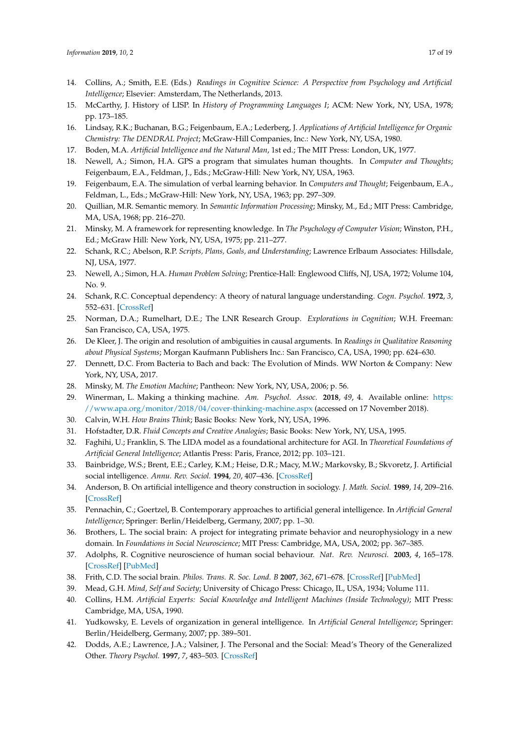- <span id="page-16-0"></span>14. Collins, A.; Smith, E.E. (Eds.) *Readings in Cognitive Science: A Perspective from Psychology and Artificial Intelligence*; Elsevier: Amsterdam, The Netherlands, 2013.
- <span id="page-16-1"></span>15. McCarthy, J. History of LISP. In *History of Programming Languages I*; ACM: New York, NY, USA, 1978; pp. 173–185.
- <span id="page-16-2"></span>16. Lindsay, R.K.; Buchanan, B.G.; Feigenbaum, E.A.; Lederberg, J. *Applications of Artificial Intelligence for Organic Chemistry: The DENDRAL Project*; McGraw-Hill Companies, Inc.: New York, NY, USA, 1980.
- <span id="page-16-3"></span>17. Boden, M.A. *Artificial Intelligence and the Natural Man*, 1st ed.; The MIT Press: London, UK, 1977.
- <span id="page-16-4"></span>18. Newell, A.; Simon, H.A. GPS a program that simulates human thoughts. In *Computer and Thoughts*; Feigenbaum, E.A., Feldman, J., Eds.; McGraw-Hill: New York, NY, USA, 1963.
- <span id="page-16-5"></span>19. Feigenbaum, E.A. The simulation of verbal learning behavior. In *Computers and Thought*; Feigenbaum, E.A., Feldman, L., Eds.; McGraw-Hill: New York, NY, USA, 1963; pp. 297–309.
- <span id="page-16-6"></span>20. Quillian, M.R. Semantic memory. In *Semantic Information Processing*; Minsky, M., Ed.; MIT Press: Cambridge, MA, USA, 1968; pp. 216–270.
- <span id="page-16-7"></span>21. Minsky, M. A framework for representing knowledge. In *The Psychology of Computer Vision*; Winston, P.H., Ed.; McGraw Hill: New York, NY, USA, 1975; pp. 211–277.
- <span id="page-16-8"></span>22. Schank, R.C.; Abelson, R.P. *Scripts, Plans, Goals, and Understanding*; Lawrence Erlbaum Associates: Hillsdale, NJ, USA, 1977.
- <span id="page-16-9"></span>23. Newell, A.; Simon, H.A. *Human Problem Solving*; Prentice-Hall: Englewood Cliffs, NJ, USA, 1972; Volume 104, No. 9.
- <span id="page-16-10"></span>24. Schank, R.C. Conceptual dependency: A theory of natural language understanding. *Cogn. Psychol.* **1972**, *3*, 552–631. [\[CrossRef\]](http://dx.doi.org/10.1016/0010-0285(72)90022-9)
- <span id="page-16-11"></span>25. Norman, D.A.; Rumelhart, D.E.; The LNR Research Group. *Explorations in Cognition*; W.H. Freeman: San Francisco, CA, USA, 1975.
- <span id="page-16-12"></span>26. De Kleer, J. The origin and resolution of ambiguities in causal arguments. In *Readings in Qualitative Reasoning about Physical Systems*; Morgan Kaufmann Publishers Inc.: San Francisco, CA, USA, 1990; pp. 624–630.
- <span id="page-16-13"></span>27. Dennett, D.C. From Bacteria to Bach and back: The Evolution of Minds. WW Norton & Company: New York, NY, USA, 2017.
- <span id="page-16-14"></span>28. Minsky, M. *The Emotion Machine*; Pantheon: New York, NY, USA, 2006; p. 56.
- <span id="page-16-15"></span>29. Winerman, L. Making a thinking machine. *Am. Psychol. Assoc.* **2018**, *49*, 4. Available online: [https:](https://www.apa.org/monitor/2018/04/cover-thinking-machine.aspx) [//www.apa.org/monitor/2018/04/cover-thinking-machine.aspx](https://www.apa.org/monitor/2018/04/cover-thinking-machine.aspx) (accessed on 17 November 2018).
- <span id="page-16-16"></span>30. Calvin, W.H. *How Brains Think*; Basic Books: New York, NY, USA, 1996.
- <span id="page-16-17"></span>31. Hofstadter, D.R. *Fluid Concepts and Creative Analogies*; Basic Books: New York, NY, USA, 1995.
- <span id="page-16-18"></span>32. Faghihi, U.; Franklin, S. The LIDA model as a foundational architecture for AGI. In *Theoretical Foundations of Artificial General Intelligence*; Atlantis Press: Paris, France, 2012; pp. 103–121.
- <span id="page-16-19"></span>33. Bainbridge, W.S.; Brent, E.E.; Carley, K.M.; Heise, D.R.; Macy, M.W.; Markovsky, B.; Skvoretz, J. Artificial social intelligence. *Annu. Rev. Sociol.* **1994**, *20*, 407–436. [\[CrossRef\]](http://dx.doi.org/10.1146/annurev.so.20.080194.002203)
- <span id="page-16-20"></span>34. Anderson, B. On artificial intelligence and theory construction in sociology. *J. Math. Sociol.* **1989**, *14*, 209–216. [\[CrossRef\]](http://dx.doi.org/10.1080/0022250X.1989.9990050)
- <span id="page-16-21"></span>35. Pennachin, C.; Goertzel, B. Contemporary approaches to artificial general intelligence. In *Artificial General Intelligence*; Springer: Berlin/Heidelberg, Germany, 2007; pp. 1–30.
- <span id="page-16-22"></span>36. Brothers, L. The social brain: A project for integrating primate behavior and neurophysiology in a new domain. In *Foundations in Social Neuroscience*; MIT Press: Cambridge, MA, USA, 2002; pp. 367–385.
- <span id="page-16-23"></span>37. Adolphs, R. Cognitive neuroscience of human social behaviour. *Nat. Rev. Neurosci.* **2003**, *4*, 165–178. [\[CrossRef\]](http://dx.doi.org/10.1038/nrn1056) [\[PubMed\]](http://www.ncbi.nlm.nih.gov/pubmed/12612630)
- <span id="page-16-24"></span>38. Frith, C.D. The social brain. *Philos. Trans. R. Soc. Lond. B* **2007**, *362*, 671–678. [\[CrossRef\]](http://dx.doi.org/10.1098/rstb.2006.2003) [\[PubMed\]](http://www.ncbi.nlm.nih.gov/pubmed/17255010)
- <span id="page-16-25"></span>39. Mead, G.H. *Mind, Self and Society*; University of Chicago Press: Chicago, IL, USA, 1934; Volume 111.
- <span id="page-16-26"></span>40. Collins, H.M. *Artificial Experts: Social Knowledge and Intelligent Machines (Inside Technology)*; MIT Press: Cambridge, MA, USA, 1990.
- <span id="page-16-27"></span>41. Yudkowsky, E. Levels of organization in general intelligence. In *Artificial General Intelligence*; Springer: Berlin/Heidelberg, Germany, 2007; pp. 389–501.
- <span id="page-16-28"></span>42. Dodds, A.E.; Lawrence, J.A.; Valsiner, J. The Personal and the Social: Mead's Theory of the Generalized Other. *Theory Psychol.* **1997**, *7*, 483–503. [\[CrossRef\]](http://dx.doi.org/10.1177/0959354397074003)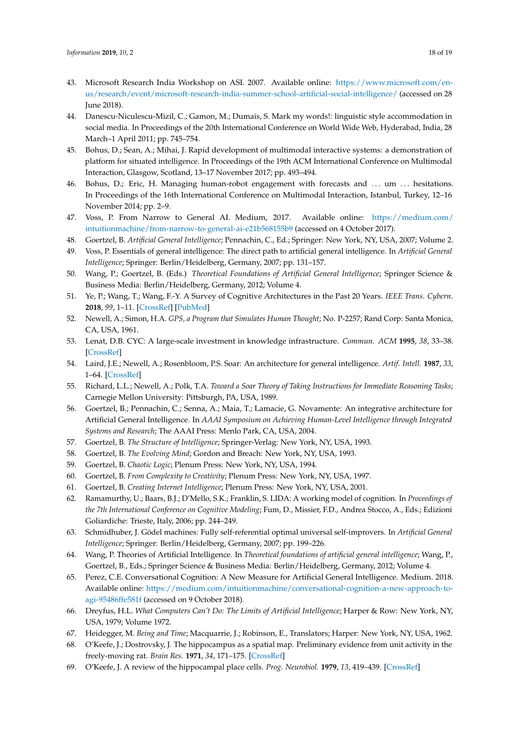- <span id="page-17-0"></span>43. Microsoft Research India Workshop on ASI. 2007. Available online: [https://www.microsoft.com/en](https://www.microsoft.com/en-us/research/event/microsoft-research-india-summer-school-artificial-social-intelligence/)[us/research/event/microsoft-research-india-summer-school-artificial-social-intelligence/](https://www.microsoft.com/en-us/research/event/microsoft-research-india-summer-school-artificial-social-intelligence/) (accessed on 28 June 2018).
- <span id="page-17-1"></span>44. Danescu-Niculescu-Mizil, C.; Gamon, M.; Dumais, S. Mark my words!: linguistic style accommodation in social media. In Proceedings of the 20th International Conference on World Wide Web, Hyderabad, India, 28 March–1 April 2011; pp. 745–754.
- <span id="page-17-2"></span>45. Bohus, D.; Sean, A.; Mihai, J. Rapid development of multimodal interactive systems: a demonstration of platform for situated intelligence. In Proceedings of the 19th ACM International Conference on Multimodal Interaction, Glasgow, Scotland, 13–17 November 2017; pp. 493–494.
- <span id="page-17-3"></span>46. Bohus, D.; Eric, H. Managing human-robot engagement with forecasts and ... um ... hesitations. In Proceedings of the 16th International Conference on Multimodal Interaction, Istanbul, Turkey, 12–16 November 2014; pp. 2–9.
- <span id="page-17-4"></span>47. Voss, P. From Narrow to General AI. Medium, 2017. Available online: [https://medium.com/](https://medium.com/intuitionmachine/from-narrow-to-general-ai-e21b568155b9) [intuitionmachine/from-narrow-to-general-ai-e21b568155b9](https://medium.com/intuitionmachine/from-narrow-to-general-ai-e21b568155b9) (accessed on 4 October 2017).
- <span id="page-17-5"></span>48. Goertzel, B. *Artificial General Intelligence*; Pennachin, C., Ed.; Springer: New York, NY, USA, 2007; Volume 2.
- <span id="page-17-6"></span>49. Voss, P. Essentials of general intelligence: The direct path to artificial general intelligence. In *Artificial General Intelligence*; Springer: Berlin/Heidelberg, Germany, 2007; pp. 131–157.
- <span id="page-17-7"></span>50. Wang, P.; Goertzel, B. (Eds.) *Theoretical Foundations of Artificial General Intelligence*; Springer Science & Business Media: Berlin/Heidelberg, Germany, 2012; Volume 4.
- <span id="page-17-8"></span>51. Ye, P.; Wang, T.; Wang, F.-Y. A Survey of Cognitive Architectures in the Past 20 Years. *IEEE Trans. Cybern.* **2018**, *99*, 1–11. [\[CrossRef\]](http://dx.doi.org/10.1109/TCYB.2018.2857704) [\[PubMed\]](http://www.ncbi.nlm.nih.gov/pubmed/30072355)
- <span id="page-17-9"></span>52. Newell, A.; Simon, H.A. *GPS, a Program that Simulates Human Thought*; No. P-2257; Rand Corp: Santa Monica, CA, USA, 1961.
- <span id="page-17-10"></span>53. Lenat, D.B. CYC: A large-scale investment in knowledge infrastructure. *Commun. ACM* **1995**, *38*, 33–38. [\[CrossRef\]](http://dx.doi.org/10.1145/219717.219745)
- <span id="page-17-11"></span>54. Laird, J.E.; Newell, A.; Rosenbloom, P.S. Soar: An architecture for general intelligence. *Artif. Intell.* **1987**, *33*, 1–64. [\[CrossRef\]](http://dx.doi.org/10.1016/0004-3702(87)90050-6)
- <span id="page-17-12"></span>55. Richard, L.L.; Newell, A.; Polk, T.A. *Toward a Soar Theory of Taking Instructions for Immediate Reasoning Tasks*; Carnegie Mellon University: Pittsburgh, PA, USA, 1989.
- <span id="page-17-13"></span>56. Goertzel, B.; Pennachin, C.; Senna, A.; Maia, T.; Lamacie, G. Novamente: An integrative architecture for Artificial General Intelligence. In *AAAI Symposium on Achieving Human-Level Intelligence through Integrated Systems and Research*; The AAAI Press: Menlo Park, CA, USA, 2004.
- <span id="page-17-14"></span>57. Goertzel, B. *The Structure of Intelligence*; Springer-Verlag: New York, NY, USA, 1993.
- 58. Goertzel, B. *The Evolving Mind*; Gordon and Breach: New York, NY, USA, 1993.
- 59. Goertzel, B. *Chaotic Logic*; Plenum Press: New York, NY, USA, 1994.
- 60. Goertzel, B. *From Complexity to Creativity*; Plenum Press: New York, NY, USA, 1997.
- <span id="page-17-15"></span>61. Goertzel, B. *Creating Internet Intelligence*; Plenum Press: New York, NY, USA, 2001.
- <span id="page-17-16"></span>62. Ramamurthy, U.; Baars, B.J.; D'Mello, S.K.; Franklin, S. LIDA: A working model of cognition. In *Proceedings of the 7th International Conference on Cognitive Modeling*; Fum, D., Missier, F.D., Andrea Stocco, A., Eds.; Edizioni Goliardiche: Trieste, Italy, 2006; pp. 244–249.
- <span id="page-17-17"></span>63. Schmidhuber, J. Gödel machines: Fully self-referential optimal universal self-improvers. In *Artificial General Intelligence*; Springer: Berlin/Heidelberg, Germany, 2007; pp. 199–226.
- <span id="page-17-18"></span>64. Wang, P. Theories of Artificial Intelligence. In *Theoretical foundations of artificial general intelligence*; Wang, P., Goertzel, B., Eds.; Springer Science & Business Media: Berlin/Heidelberg, Germany, 2012; Volume 4.
- <span id="page-17-19"></span>65. Perez, C.E. Conversational Cognition: A New Measure for Artificial General Intelligence. Medium. 2018. Available online: [https://medium.com/intuitionmachine/conversational-cognition-a-new-approach-to](https://medium.com/intuitionmachine/conversational-cognition-a-new-approach-to-agi-95486ffe581f)[agi-95486ffe581f](https://medium.com/intuitionmachine/conversational-cognition-a-new-approach-to-agi-95486ffe581f) (accessed on 9 October 2018).
- <span id="page-17-20"></span>66. Dreyfus, H.L. *What Computers Can't Do: The Limits of Artificial Intelligence*; Harper & Row: New York, NY, USA, 1979; Volume 1972.
- <span id="page-17-21"></span>67. Heidegger, M. *Being and Time*; Macquarrie, J.; Robinson, E., Translators; Harper: New York, NY, USA, 1962.
- <span id="page-17-22"></span>68. O'Keefe, J.; Dostrovsky, J. The hippocampus as a spatial map. Preliminary evidence from unit activity in the freely-moving rat. *Brain Res.* **1971**, *34*, 171–175. [\[CrossRef\]](http://dx.doi.org/10.1016/0006-8993(71)90358-1)
- 69. O'Keefe, J. A review of the hippocampal place cells. *Prog. Neurobiol.* **1979**, *13*, 419–439. [\[CrossRef\]](http://dx.doi.org/10.1016/0301-0082(79)90005-4)